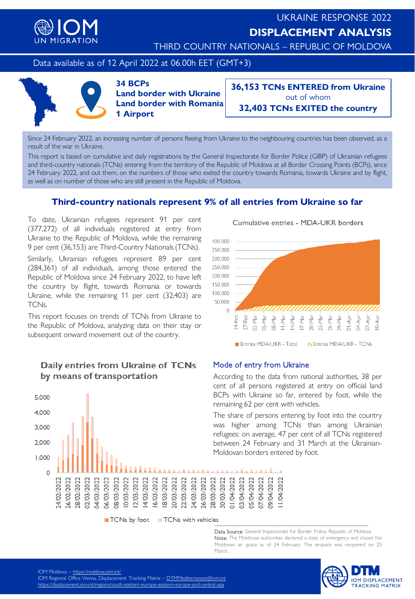

THIRD COUNTRY NATIONALS – REPUBLIC OF MOLDOVA

Data available as of 12 April 2022 at 06.00h EET (GMT+3)



**34 BCPs Land border with Ukraine Land border with Romania 1 Airport**

**36,153 TCNs ENTERED from Ukraine** out of whom **32,403 TCNs EXITED the country**

Since 24 February 2022, an increasing number of persons fleeing from Ukraine to the neighbouring countries has been observed, as a result of the war in Ukraine.

This report is based on cumulative and daily registrations by the General Inspectorate for Border Police (GIBP) of Ukrainian refugees and third-country nationals (TCNs) entering from the territory of the Republic of Moldova at all Border Crossing Points (BCPs), since 24 February 2022, and out them, on the numbers of those who exited the country towards Romania, towards Ukraine and by flight, as well as on number of those who are still present in the Republic of Moldova.

## **Third-country nationals represent 9% of all entries from Ukraine so far**

To date, Ukrainian refugees represent 91 per cent (377,272) of all individuals registered at entry from Ukraine to the Republic of Moldova, while the remaining 9 per cent (36,153) are Third-Country Nationals (TCNs).

Similarly, Ukrainian refugees represent 89 per cent (284,361) of all individuals, among those entered the Republic of Moldova since 24 February 2022, to have left the country by flight, towards Romania or towards Ukraine, while the remaining 11 per cent (32,403) are TCNs.

This report focuses on trends of TCNs from Ukraine to the Republic of Moldova, analyzing data on their stay or subsequent onward movement out of the country.

# Daily entries from Ukraine of TCNs by means of transportation



TCNs by foot TCNs with vehicles ------------------------------------------------------------------------------------

Data Source: General Inspectorate for Border Police, Republic of Moldova Note: The Moldovan authorities declared a state of emergency and closed the Moldovan air space as of 24 February. The airspace was reopened on 25 March.

IOM DISPLACEMENT<br>TRACKING MATRIX

Cumulative entries - MDA-UKR borders



#### Mode of entry from Ukraine

According to the data from national authorities, 38 per cent of all persons registered at entry on official land BCPs with Ukraine so far, entered by foot, while the remaining 62 per cent with vehicles.

The share of persons entering by foot into the country was higher among TCNs than among Ukrainian refugees: on average, 47 per cent of all TCNs registered between 24 February and 31 March at the Ukrainian-Moldovan borders entered by foot.

101 Frioliaova – <u><https://moldova.iom.int/></u><br>IOM Regional Office Vienna, Displacement Tracking Matrix – <u>[DTMMediterranean@iom.int](mailto:DTMMediterranean@iom.int)</u> IOM REGIONAL OFFICE VIENNA, DISPLACEMENT TRACKING MATRIX – DTMMEDITERRANEAN (DISPLACEMENT).<br>Internal displacement internal internal contract in each contract and contract contract and contract series of <https://displacement.iom.int/regions/south-eastern-europe-eastern-europe-and-central-asia><br>.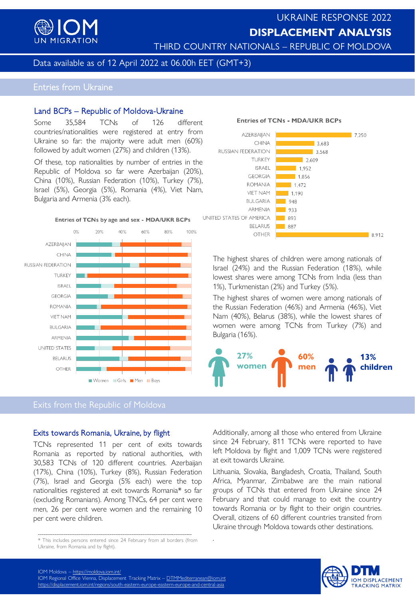

# UKRAINE RESPONSE 2022 **DISPLACEMENT ANALYSIS**

THIRD COUNTRY NATIONALS – REPUBLIC OF MOLDOVA

### Data available as of 12 April 2022 at 06.00h EET (GMT+3)

# Entries from Ukraine

#### Land BCPs – Republic of Moldova-Ukraine

Some 35,584 TCNs of 126 different countries/nationalities were registered at entry from Ukraine so far: the majority were adult men (60%) followed by adult women (27%) and children (13%).

Of these, top nationalities by number of entries in the Republic of Moldova so far were Azerbaijan (20%), China (10%), Russian Federation (10%), Turkey (7%), Israel (5%), Georgia (5%), Romania (4%), Viet Nam, Bulgaria and Armenia (3% each).



## Exits from the Republic of Moldova

#### Exits towards Romania, Ukraine, by flight

TCNs represented 11 per cent of exits towards Romania as reported by national authorities, with 30,583 TCNs of 120 different countries. Azerbaijan (17%), China (10%), Turkey (8%), Russian Federation (7%), Israel and Georgia (5% each) were the top nationalities registered at exit towards Romania\* so far (excluding Romanians). Among TNCs, 64 per cent were men, 26 per cent were women and the remaining 10 per cent were children.



The highest shares of children were among nationals of Israel (24%) and the Russian Federation (18%), while lowest shares were among TCNs from India (less than 1%), Turkmenistan (2%) and Turkey (5%).

The highest shares of women were among nationals of the Russian Federation (46%) and Armenia (46%), Viet Nam (40%), Belarus (38%), while the lowest shares of women were among TCNs from Turkey (7%) and Bulgaria (16%).



Additionally, among all those who entered from Ukraine since 24 February, 811 TCNs were reported to have left Moldova by flight and 1,009 TCNs were registered at exit towards Ukraine.

Lithuania, Slovakia, Bangladesh, Croatia, Thailand, South Africa, Myanmar, Zimbabwe are the main national groups of TCNs that entered from Ukraine since 24 February and that could manage to exit the country towards Romania or by flight to their origin countries. Overall, citizens of 60 different countries transited from Ukraine through Moldova towards other destinations.



**Entries of TCNs - MDA/UKR BCPs** 

<sup>.</sup> ------------------------------------------------------------------------------------ \* This includes persons entered since 24 February from all borders (from Ukraine, from Romania and by flight).